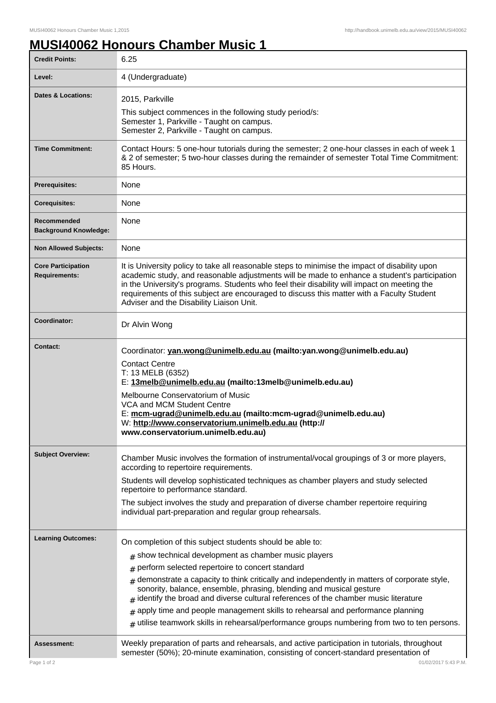## **MUSI40062 Honours Chamber Music 1**

| <b>Credit Points:</b>                             | 6.25                                                                                                                                                                                                                                                                                                                                                                                                                                   |
|---------------------------------------------------|----------------------------------------------------------------------------------------------------------------------------------------------------------------------------------------------------------------------------------------------------------------------------------------------------------------------------------------------------------------------------------------------------------------------------------------|
| Level:                                            | 4 (Undergraduate)                                                                                                                                                                                                                                                                                                                                                                                                                      |
| Dates & Locations:                                | 2015, Parkville                                                                                                                                                                                                                                                                                                                                                                                                                        |
|                                                   | This subject commences in the following study period/s:<br>Semester 1, Parkville - Taught on campus.<br>Semester 2, Parkville - Taught on campus.                                                                                                                                                                                                                                                                                      |
| <b>Time Commitment:</b>                           | Contact Hours: 5 one-hour tutorials during the semester; 2 one-hour classes in each of week 1<br>& 2 of semester; 5 two-hour classes during the remainder of semester Total Time Commitment:<br>85 Hours.                                                                                                                                                                                                                              |
| <b>Prerequisites:</b>                             | None                                                                                                                                                                                                                                                                                                                                                                                                                                   |
| <b>Corequisites:</b>                              | None                                                                                                                                                                                                                                                                                                                                                                                                                                   |
| Recommended<br><b>Background Knowledge:</b>       | None                                                                                                                                                                                                                                                                                                                                                                                                                                   |
| <b>Non Allowed Subjects:</b>                      | None                                                                                                                                                                                                                                                                                                                                                                                                                                   |
| <b>Core Participation</b><br><b>Requirements:</b> | It is University policy to take all reasonable steps to minimise the impact of disability upon<br>academic study, and reasonable adjustments will be made to enhance a student's participation<br>in the University's programs. Students who feel their disability will impact on meeting the<br>requirements of this subject are encouraged to discuss this matter with a Faculty Student<br>Adviser and the Disability Liaison Unit. |
| Coordinator:                                      | Dr Alvin Wong                                                                                                                                                                                                                                                                                                                                                                                                                          |
| <b>Contact:</b>                                   | Coordinator: yan.wong@unimelb.edu.au (mailto:yan.wong@unimelb.edu.au)<br><b>Contact Centre</b><br>T: 13 MELB (6352)<br>E: 13melb@unimelb.edu.au (mailto:13melb@unimelb.edu.au)<br>Melbourne Conservatorium of Music<br>VCA and MCM Student Centre<br>E: mcm-ugrad@unimelb.edu.au (mailto:mcm-ugrad@unimelb.edu.au)<br>W: http://www.conservatorium.unimelb.edu.au (http://<br>www.conservatorium.unimelb.edu.au)                       |
| <b>Subject Overview:</b>                          | Chamber Music involves the formation of instrumental/vocal groupings of 3 or more players,<br>according to repertoire requirements.                                                                                                                                                                                                                                                                                                    |
|                                                   | Students will develop sophisticated techniques as chamber players and study selected<br>repertoire to performance standard.                                                                                                                                                                                                                                                                                                            |
|                                                   | The subject involves the study and preparation of diverse chamber repertoire requiring<br>individual part-preparation and regular group rehearsals.                                                                                                                                                                                                                                                                                    |
| <b>Learning Outcomes:</b>                         | On completion of this subject students should be able to:                                                                                                                                                                                                                                                                                                                                                                              |
|                                                   | $#$ show technical development as chamber music players                                                                                                                                                                                                                                                                                                                                                                                |
|                                                   | perform selected repertoire to concert standard<br>#                                                                                                                                                                                                                                                                                                                                                                                   |
|                                                   | demonstrate a capacity to think critically and independently in matters of corporate style,<br>#<br>sonority, balance, ensemble, phrasing, blending and musical gesture<br>identify the broad and diverse cultural references of the chamber music literature                                                                                                                                                                          |
|                                                   | apply time and people management skills to rehearsal and performance planning<br>#                                                                                                                                                                                                                                                                                                                                                     |
|                                                   | utilise teamwork skills in rehearsal/performance groups numbering from two to ten persons.                                                                                                                                                                                                                                                                                                                                             |
| Assessment:                                       | Weekly preparation of parts and rehearsals, and active participation in tutorials, throughout<br>semester (50%); 20-minute examination, consisting of concert-standard presentation of                                                                                                                                                                                                                                                 |